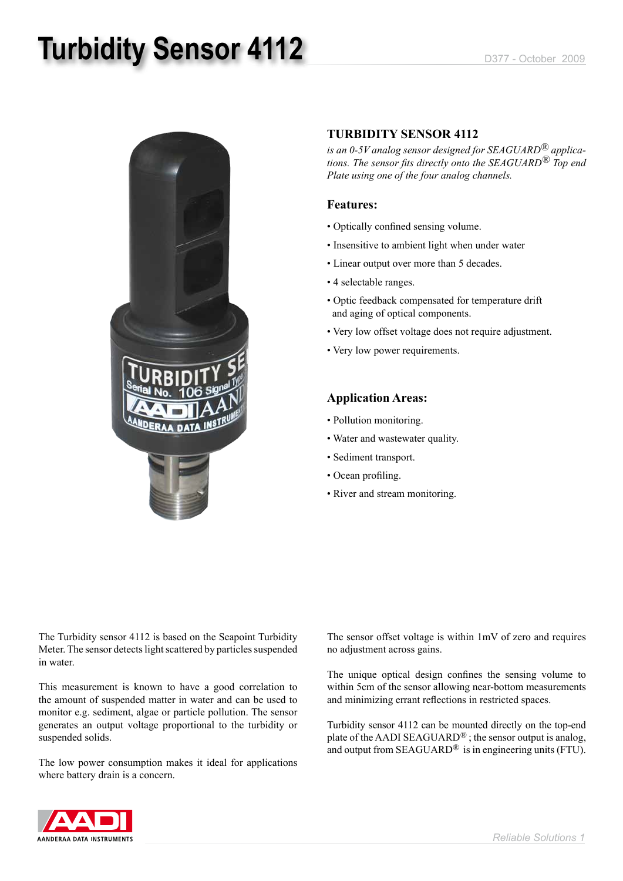# **Turbidity Sensor 4112** D377 - October 2009



#### **TURBIDITY SENSOR 4112**

*is an 0-5V analog sensor designed for SEAGUARD® applications. The sensor fits directly onto the SEAGUARD® Top end Plate using one of the four analog channels.*

### **Features:**

- Optically confined sensing volume.
- Insensitive to ambient light when under water
- Linear output over more than 5 decades.
- 4 selectable ranges.
- Optic feedback compensated for temperature drift and aging of optical components.
- Very low offset voltage does not require adjustment.
- Very low power requirements.

#### **Application Areas:**

- Pollution monitoring.
- Water and wastewater quality.
- Sediment transport.
- Ocean profiling.
- River and stream monitoring.

The Turbidity sensor 4112 is based on the Seapoint Turbidity Meter. The sensor detects light scattered by particles suspended in water.

This measurement is known to have a good correlation to the amount of suspended matter in water and can be used to monitor e.g. sediment, algae or particle pollution. The sensor generates an output voltage proportional to the turbidity or suspended solids.

The low power consumption makes it ideal for applications where battery drain is a concern.

The sensor offset voltage is within 1mV of zero and requires no adjustment across gains.

The unique optical design confines the sensing volume to within 5cm of the sensor allowing near-bottom measurements and minimizing errant reflections in restricted spaces.

Turbidity sensor 4112 can be mounted directly on the top-end plate of the AADI SEAGUARD*®* ; the sensor output is analog, and output from SEAGUARD*®* is in engineering units (FTU).